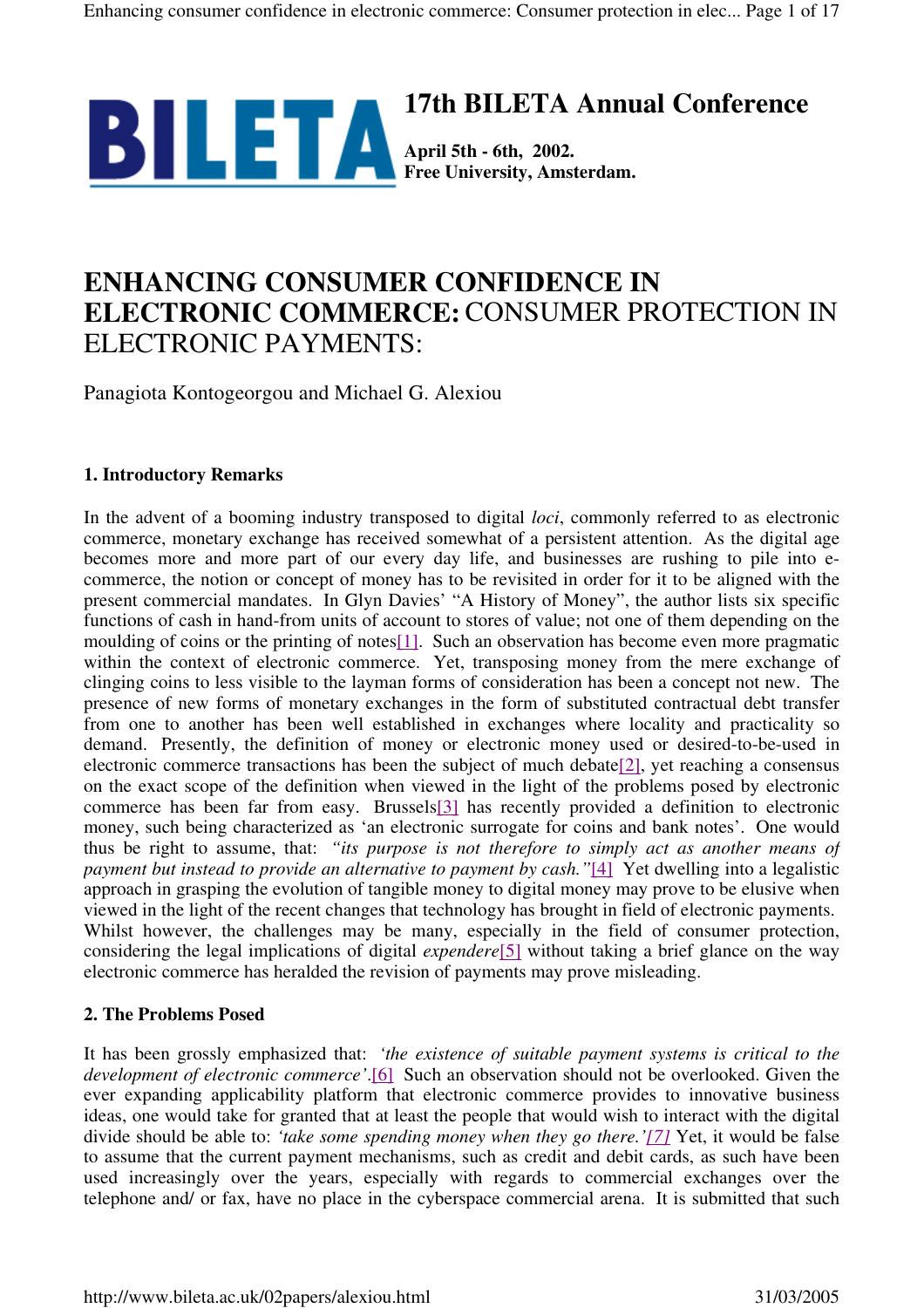

## **ENHANCING CONSUMER CONFIDENCE IN ELECTRONIC COMMERCE:** CONSUMER PROTECTION IN ELECTRONIC PAYMENTS:

Panagiota Kontogeorgou and Michael G. Alexiou

### **1. Introductory Remarks**

In the advent of a booming industry transposed to digital *loci*, commonly referred to as electronic commerce, monetary exchange has received somewhat of a persistent attention. As the digital age becomes more and more part of our every day life, and businesses are rushing to pile into ecommerce, the notion or concept of money has to be revisited in order for it to be aligned with the present commercial mandates. In Glyn Davies' "A History of Money", the author lists six specific functions of cash in hand-from units of account to stores of value; not one of them depending on the moulding of coins or the printing of notes[1]. Such an observation has become even more pragmatic within the context of electronic commerce. Yet, transposing money from the mere exchange of clinging coins to less visible to the layman forms of consideration has been a concept not new. The presence of new forms of monetary exchanges in the form of substituted contractual debt transfer from one to another has been well established in exchanges where locality and practicality so demand. Presently, the definition of money or electronic money used or desired-to-be-used in electronic commerce transactions has been the subject of much debate[2], yet reaching a consensus on the exact scope of the definition when viewed in the light of the problems posed by electronic commerce has been far from easy. Brussels[3] has recently provided a definition to electronic money, such being characterized as 'an electronic surrogate for coins and bank notes'. One would thus be right to assume, that: *"its purpose is not therefore to simply act as another means of payment but instead to provide an alternative to payment by cash."*[4] Yet dwelling into a legalistic approach in grasping the evolution of tangible money to digital money may prove to be elusive when viewed in the light of the recent changes that technology has brought in field of electronic payments. Whilst however, the challenges may be many, especially in the field of consumer protection, considering the legal implications of digital *expendere*[5] without taking a brief glance on the way electronic commerce has heralded the revision of payments may prove misleading.

### **2. The Problems Posed**

It has been grossly emphasized that: *'the existence of suitable payment systems is critical to the development of electronic commerce'*.[6] Such an observation should not be overlooked. Given the ever expanding applicability platform that electronic commerce provides to innovative business ideas, one would take for granted that at least the people that would wish to interact with the digital divide should be able to: *'take some spending money when they go there.'[7]* Yet, it would be false to assume that the current payment mechanisms, such as credit and debit cards, as such have been used increasingly over the years, especially with regards to commercial exchanges over the telephone and/ or fax, have no place in the cyberspace commercial arena. It is submitted that such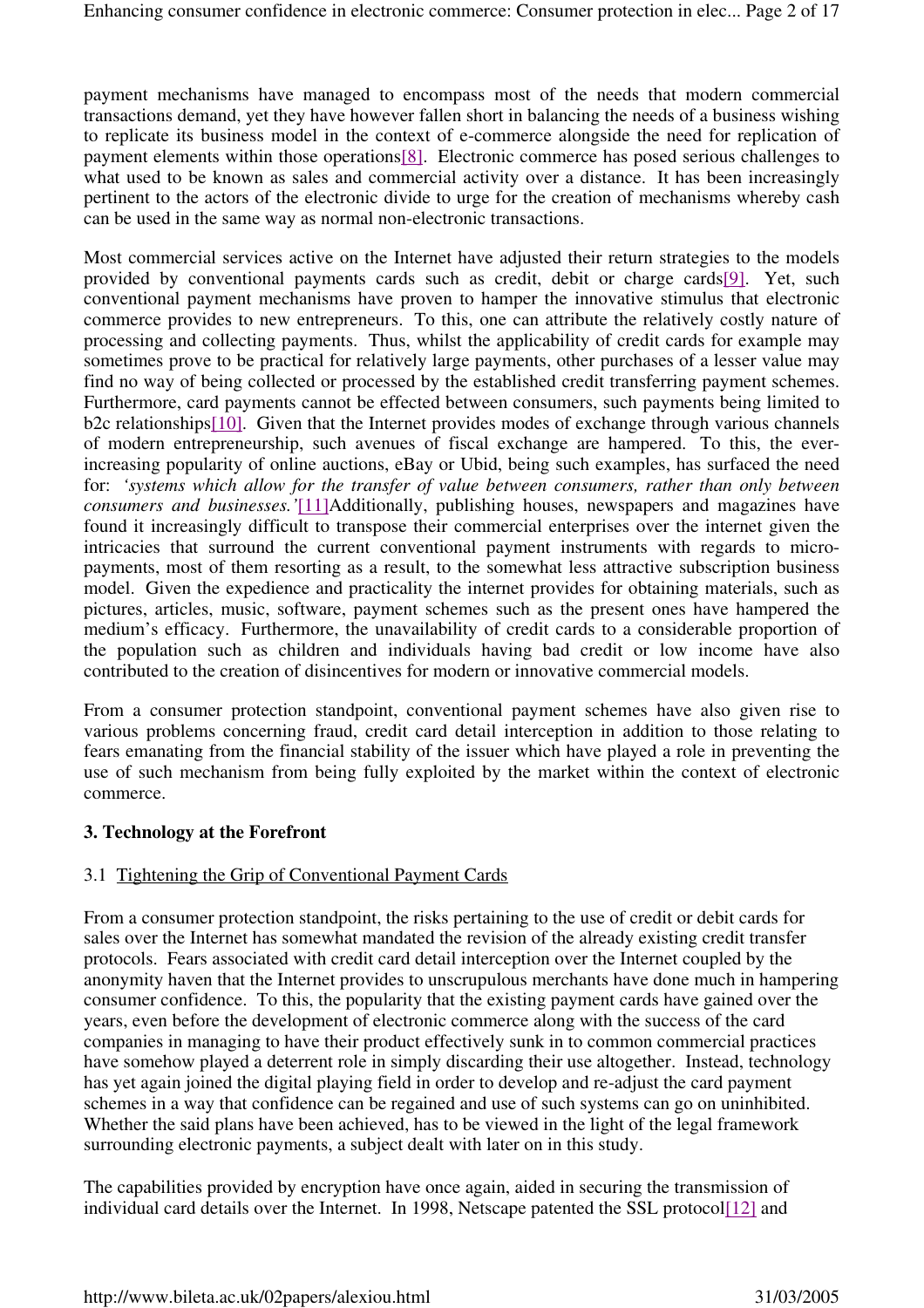payment mechanisms have managed to encompass most of the needs that modern commercial transactions demand, yet they have however fallen short in balancing the needs of a business wishing to replicate its business model in the context of e-commerce alongside the need for replication of payment elements within those operations[8]. Electronic commerce has posed serious challenges to what used to be known as sales and commercial activity over a distance. It has been increasingly pertinent to the actors of the electronic divide to urge for the creation of mechanisms whereby cash can be used in the same way as normal non-electronic transactions.

Most commercial services active on the Internet have adjusted their return strategies to the models provided by conventional payments cards such as credit, debit or charge cards[9]. Yet, such conventional payment mechanisms have proven to hamper the innovative stimulus that electronic commerce provides to new entrepreneurs. To this, one can attribute the relatively costly nature of processing and collecting payments. Thus, whilst the applicability of credit cards for example may sometimes prove to be practical for relatively large payments, other purchases of a lesser value may find no way of being collected or processed by the established credit transferring payment schemes. Furthermore, card payments cannot be effected between consumers, such payments being limited to b2c relationships[10]. Given that the Internet provides modes of exchange through various channels of modern entrepreneurship, such avenues of fiscal exchange are hampered. To this, the everincreasing popularity of online auctions, eBay or Ubid, being such examples, has surfaced the need for: *'systems which allow for the transfer of value between consumers, rather than only between consumers and businesses.'*[11]Additionally, publishing houses, newspapers and magazines have found it increasingly difficult to transpose their commercial enterprises over the internet given the intricacies that surround the current conventional payment instruments with regards to micropayments, most of them resorting as a result, to the somewhat less attractive subscription business model. Given the expedience and practicality the internet provides for obtaining materials, such as pictures, articles, music, software, payment schemes such as the present ones have hampered the medium's efficacy. Furthermore, the unavailability of credit cards to a considerable proportion of the population such as children and individuals having bad credit or low income have also contributed to the creation of disincentives for modern or innovative commercial models.

From a consumer protection standpoint, conventional payment schemes have also given rise to various problems concerning fraud, credit card detail interception in addition to those relating to fears emanating from the financial stability of the issuer which have played a role in preventing the use of such mechanism from being fully exploited by the market within the context of electronic commerce.

### **3. Technology at the Forefront**

### 3.1 Tightening the Grip of Conventional Payment Cards

From a consumer protection standpoint, the risks pertaining to the use of credit or debit cards for sales over the Internet has somewhat mandated the revision of the already existing credit transfer protocols. Fears associated with credit card detail interception over the Internet coupled by the anonymity haven that the Internet provides to unscrupulous merchants have done much in hampering consumer confidence. To this, the popularity that the existing payment cards have gained over the years, even before the development of electronic commerce along with the success of the card companies in managing to have their product effectively sunk in to common commercial practices have somehow played a deterrent role in simply discarding their use altogether. Instead, technology has yet again joined the digital playing field in order to develop and re-adjust the card payment schemes in a way that confidence can be regained and use of such systems can go on uninhibited. Whether the said plans have been achieved, has to be viewed in the light of the legal framework surrounding electronic payments, a subject dealt with later on in this study.

The capabilities provided by encryption have once again, aided in securing the transmission of individual card details over the Internet. In 1998, Netscape patented the SSL protocol [12] and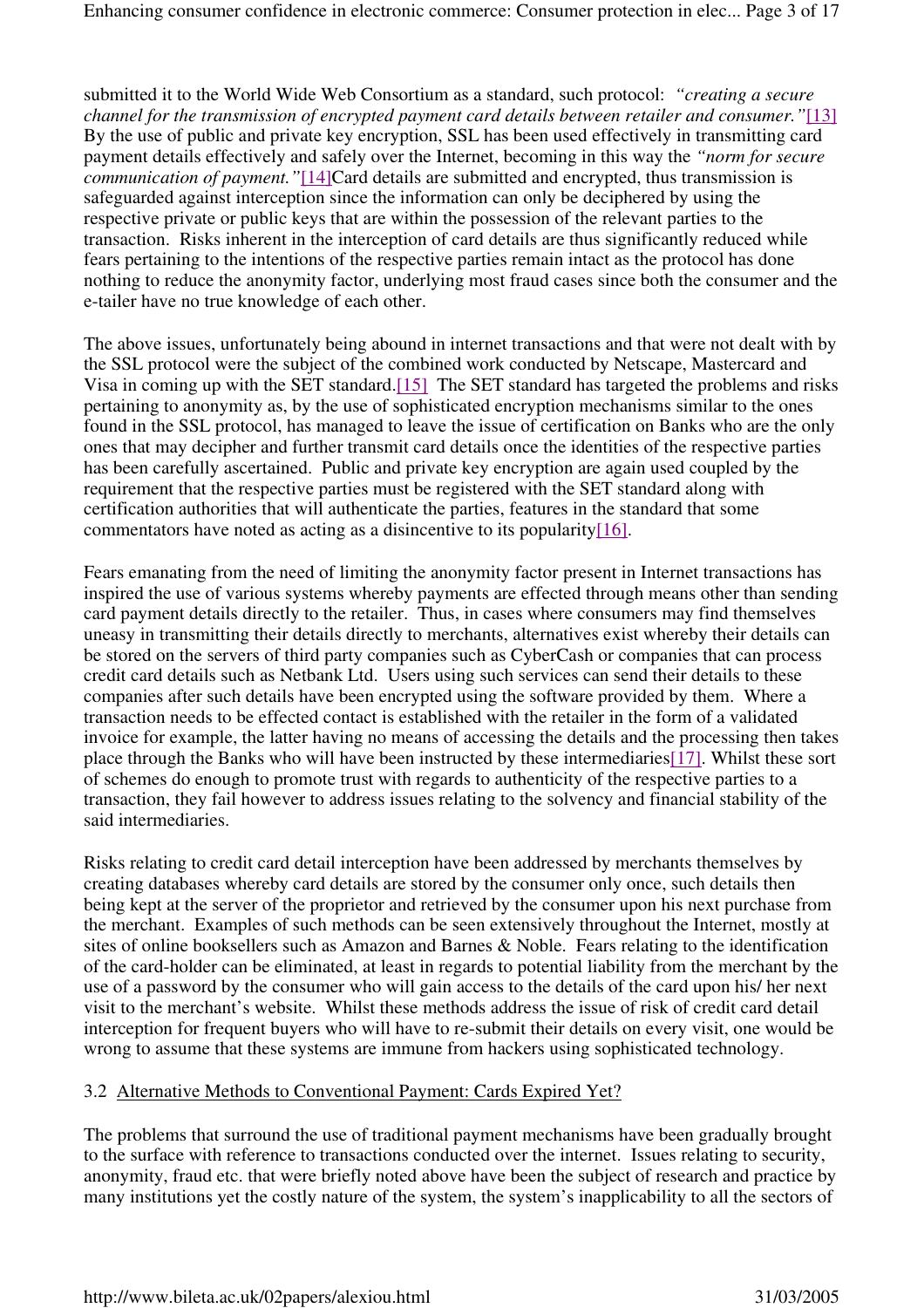submitted it to the World Wide Web Consortium as a standard, such protocol: *"creating a secure channel for the transmission of encrypted payment card details between retailer and consumer."*[13] By the use of public and private key encryption, SSL has been used effectively in transmitting card payment details effectively and safely over the Internet, becoming in this way the *"norm for secure communication of payment."*[14]Card details are submitted and encrypted, thus transmission is safeguarded against interception since the information can only be deciphered by using the respective private or public keys that are within the possession of the relevant parties to the transaction. Risks inherent in the interception of card details are thus significantly reduced while fears pertaining to the intentions of the respective parties remain intact as the protocol has done nothing to reduce the anonymity factor, underlying most fraud cases since both the consumer and the e-tailer have no true knowledge of each other.

The above issues, unfortunately being abound in internet transactions and that were not dealt with by the SSL protocol were the subject of the combined work conducted by Netscape, Mastercard and Visa in coming up with the SET standard.[15] The SET standard has targeted the problems and risks pertaining to anonymity as, by the use of sophisticated encryption mechanisms similar to the ones found in the SSL protocol, has managed to leave the issue of certification on Banks who are the only ones that may decipher and further transmit card details once the identities of the respective parties has been carefully ascertained. Public and private key encryption are again used coupled by the requirement that the respective parties must be registered with the SET standard along with certification authorities that will authenticate the parties, features in the standard that some commentators have noted as acting as a disincentive to its popularity[16].

Fears emanating from the need of limiting the anonymity factor present in Internet transactions has inspired the use of various systems whereby payments are effected through means other than sending card payment details directly to the retailer. Thus, in cases where consumers may find themselves uneasy in transmitting their details directly to merchants, alternatives exist whereby their details can be stored on the servers of third party companies such as CyberCash or companies that can process credit card details such as Netbank Ltd. Users using such services can send their details to these companies after such details have been encrypted using the software provided by them. Where a transaction needs to be effected contact is established with the retailer in the form of a validated invoice for example, the latter having no means of accessing the details and the processing then takes place through the Banks who will have been instructed by these intermediaries[17]. Whilst these sort of schemes do enough to promote trust with regards to authenticity of the respective parties to a transaction, they fail however to address issues relating to the solvency and financial stability of the said intermediaries.

Risks relating to credit card detail interception have been addressed by merchants themselves by creating databases whereby card details are stored by the consumer only once, such details then being kept at the server of the proprietor and retrieved by the consumer upon his next purchase from the merchant. Examples of such methods can be seen extensively throughout the Internet, mostly at sites of online booksellers such as Amazon and Barnes & Noble. Fears relating to the identification of the card-holder can be eliminated, at least in regards to potential liability from the merchant by the use of a password by the consumer who will gain access to the details of the card upon his/ her next visit to the merchant's website. Whilst these methods address the issue of risk of credit card detail interception for frequent buyers who will have to re-submit their details on every visit, one would be wrong to assume that these systems are immune from hackers using sophisticated technology.

### 3.2 Alternative Methods to Conventional Payment: Cards Expired Yet?

The problems that surround the use of traditional payment mechanisms have been gradually brought to the surface with reference to transactions conducted over the internet. Issues relating to security, anonymity, fraud etc. that were briefly noted above have been the subject of research and practice by many institutions yet the costly nature of the system, the system's inapplicability to all the sectors of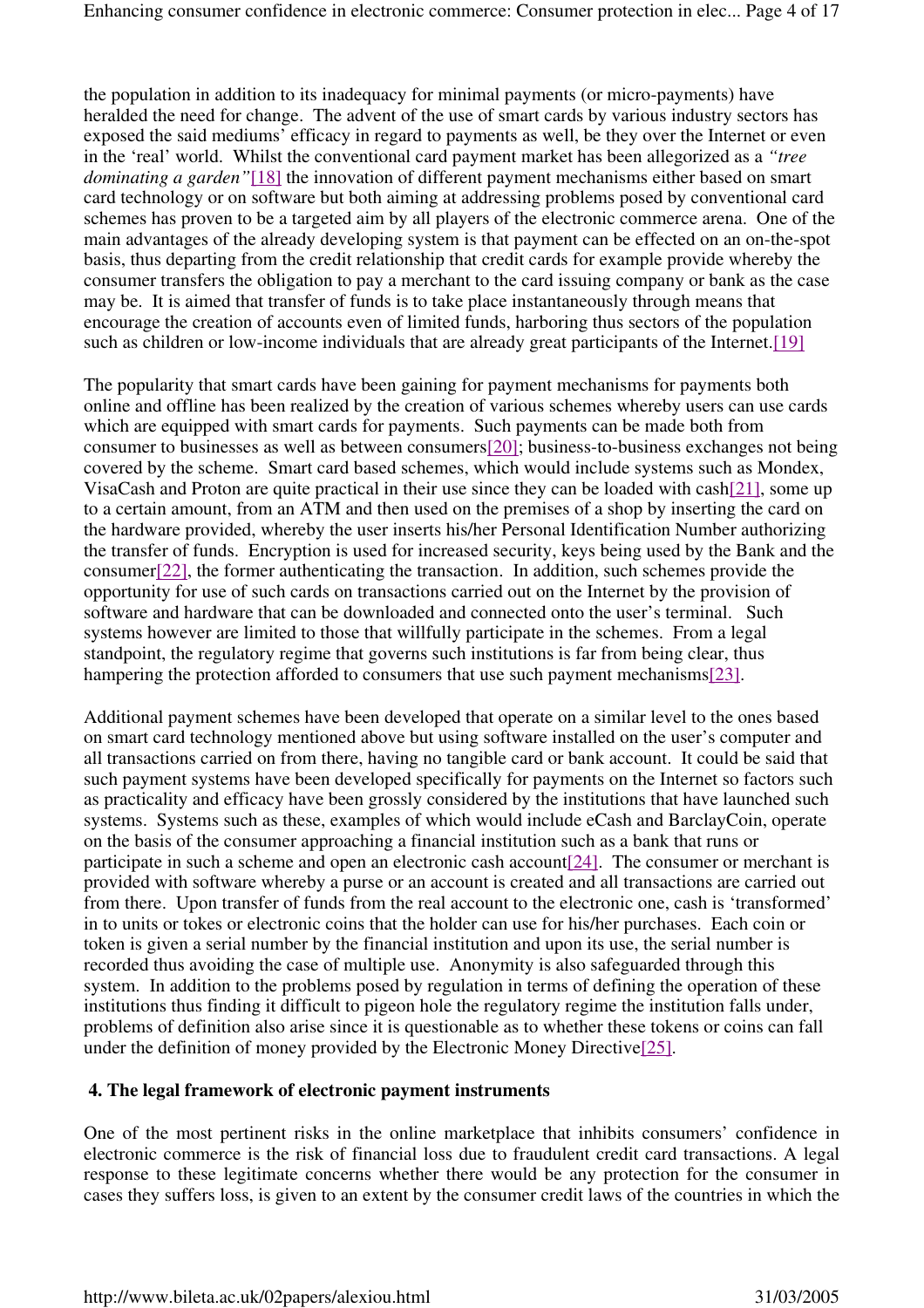the population in addition to its inadequacy for minimal payments (or micro-payments) have heralded the need for change. The advent of the use of smart cards by various industry sectors has exposed the said mediums' efficacy in regard to payments as well, be they over the Internet or even in the 'real' world. Whilst the conventional card payment market has been allegorized as a *"tree dominating a garden"*[18] the innovation of different payment mechanisms either based on smart card technology or on software but both aiming at addressing problems posed by conventional card schemes has proven to be a targeted aim by all players of the electronic commerce arena. One of the main advantages of the already developing system is that payment can be effected on an on-the-spot basis, thus departing from the credit relationship that credit cards for example provide whereby the consumer transfers the obligation to pay a merchant to the card issuing company or bank as the case may be. It is aimed that transfer of funds is to take place instantaneously through means that encourage the creation of accounts even of limited funds, harboring thus sectors of the population such as children or low-income individuals that are already great participants of the Internet.<sup>[19]</sup>

The popularity that smart cards have been gaining for payment mechanisms for payments both online and offline has been realized by the creation of various schemes whereby users can use cards which are equipped with smart cards for payments. Such payments can be made both from consumer to businesses as well as between consumers[20]; business-to-business exchanges not being covered by the scheme. Smart card based schemes, which would include systems such as Mondex, VisaCash and Proton are quite practical in their use since they can be loaded with cash[21], some up to a certain amount, from an ATM and then used on the premises of a shop by inserting the card on the hardware provided, whereby the user inserts his/her Personal Identification Number authorizing the transfer of funds. Encryption is used for increased security, keys being used by the Bank and the consumer[22], the former authenticating the transaction. In addition, such schemes provide the opportunity for use of such cards on transactions carried out on the Internet by the provision of software and hardware that can be downloaded and connected onto the user's terminal. Such systems however are limited to those that willfully participate in the schemes. From a legal standpoint, the regulatory regime that governs such institutions is far from being clear, thus hampering the protection afforded to consumers that use such payment mechanisms[23].

Additional payment schemes have been developed that operate on a similar level to the ones based on smart card technology mentioned above but using software installed on the user's computer and all transactions carried on from there, having no tangible card or bank account. It could be said that such payment systems have been developed specifically for payments on the Internet so factors such as practicality and efficacy have been grossly considered by the institutions that have launched such systems. Systems such as these, examples of which would include eCash and BarclayCoin, operate on the basis of the consumer approaching a financial institution such as a bank that runs or participate in such a scheme and open an electronic cash account[24]. The consumer or merchant is provided with software whereby a purse or an account is created and all transactions are carried out from there. Upon transfer of funds from the real account to the electronic one, cash is 'transformed' in to units or tokes or electronic coins that the holder can use for his/her purchases. Each coin or token is given a serial number by the financial institution and upon its use, the serial number is recorded thus avoiding the case of multiple use. Anonymity is also safeguarded through this system. In addition to the problems posed by regulation in terms of defining the operation of these institutions thus finding it difficult to pigeon hole the regulatory regime the institution falls under, problems of definition also arise since it is questionable as to whether these tokens or coins can fall under the definition of money provided by the Electronic Money Directive[25].

### **4. The legal framework of electronic payment instruments**

One of the most pertinent risks in the online marketplace that inhibits consumers' confidence in electronic commerce is the risk of financial loss due to fraudulent credit card transactions. A legal response to these legitimate concerns whether there would be any protection for the consumer in cases they suffers loss, is given to an extent by the consumer credit laws of the countries in which the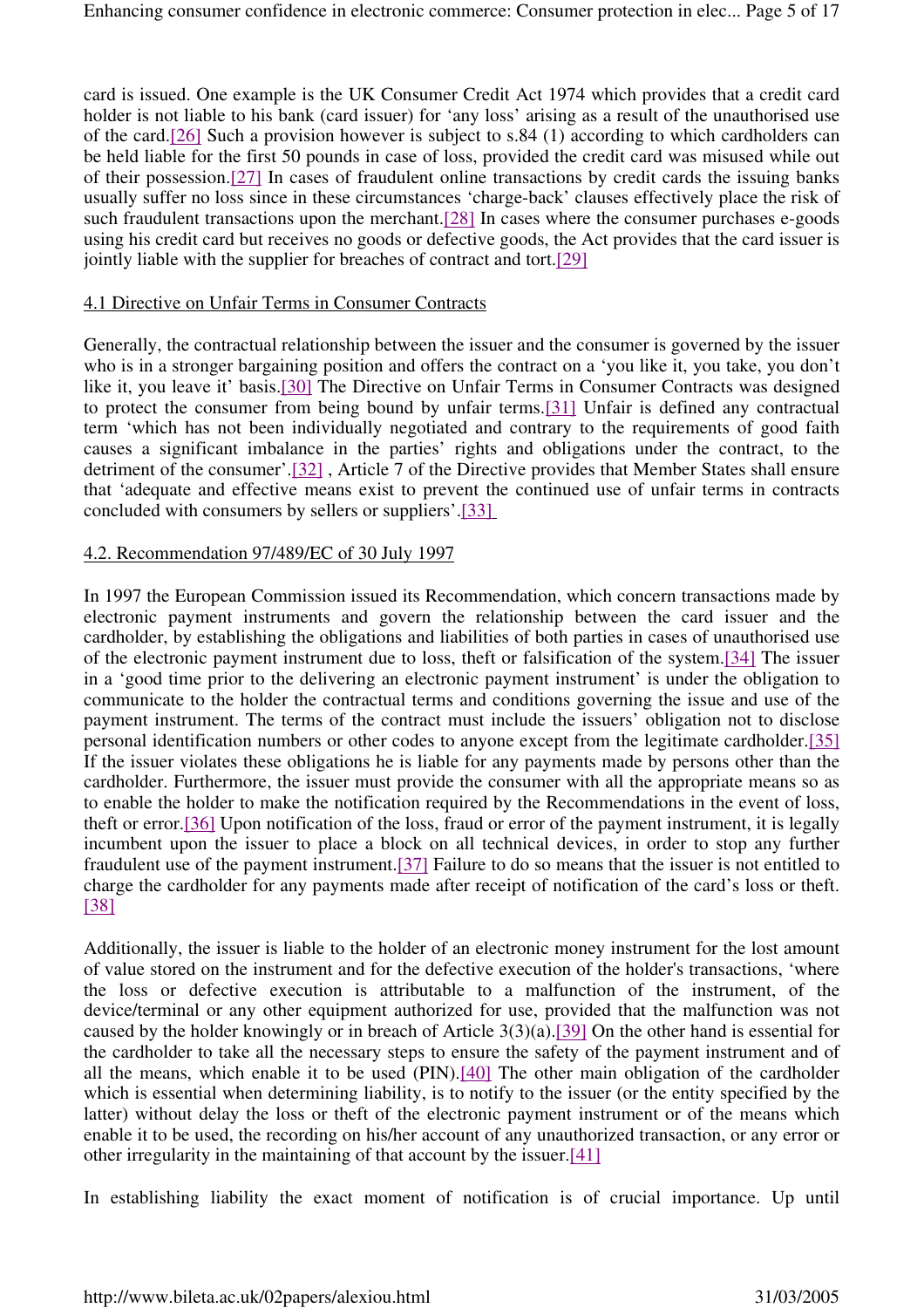card is issued. One example is the UK Consumer Credit Act 1974 which provides that a credit card holder is not liable to his bank (card issuer) for 'any loss' arising as a result of the unauthorised use of the card.[26] Such a provision however is subject to s.84 (1) according to which cardholders can be held liable for the first 50 pounds in case of loss, provided the credit card was misused while out of their possession.[27] In cases of fraudulent online transactions by credit cards the issuing banks usually suffer no loss since in these circumstances 'charge-back' clauses effectively place the risk of such fraudulent transactions upon the merchant.[28] In cases where the consumer purchases e-goods using his credit card but receives no goods or defective goods, the Act provides that the card issuer is jointly liable with the supplier for breaches of contract and tort.[29]

### 4.1 Directive on Unfair Terms in Consumer Contracts

Generally, the contractual relationship between the issuer and the consumer is governed by the issuer who is in a stronger bargaining position and offers the contract on a 'you like it, you take, you don't like it, you leave it' basis.[30] The Directive on Unfair Terms in Consumer Contracts was designed to protect the consumer from being bound by unfair terms.[31] Unfair is defined any contractual term 'which has not been individually negotiated and contrary to the requirements of good faith causes a significant imbalance in the parties' rights and obligations under the contract, to the detriment of the consumer'.[32] , Article 7 of the Directive provides that Member States shall ensure that 'adequate and effective means exist to prevent the continued use of unfair terms in contracts concluded with consumers by sellers or suppliers'.[33]

### 4.2. Recommendation 97/489/EC of 30 July 1997

In 1997 the European Commission issued its Recommendation, which concern transactions made by electronic payment instruments and govern the relationship between the card issuer and the cardholder, by establishing the obligations and liabilities of both parties in cases of unauthorised use of the electronic payment instrument due to loss, theft or falsification of the system.[34] The issuer in a 'good time prior to the delivering an electronic payment instrument' is under the obligation to communicate to the holder the contractual terms and conditions governing the issue and use of the payment instrument. The terms of the contract must include the issuers' obligation not to disclose personal identification numbers or other codes to anyone except from the legitimate cardholder.[35] If the issuer violates these obligations he is liable for any payments made by persons other than the cardholder. Furthermore, the issuer must provide the consumer with all the appropriate means so as to enable the holder to make the notification required by the Recommendations in the event of loss, theft or error.[36] Upon notification of the loss, fraud or error of the payment instrument, it is legally incumbent upon the issuer to place a block on all technical devices, in order to stop any further fraudulent use of the payment instrument.[37] Failure to do so means that the issuer is not entitled to charge the cardholder for any payments made after receipt of notification of the card's loss or theft. [38]

Additionally, the issuer is liable to the holder of an electronic money instrument for the lost amount of value stored on the instrument and for the defective execution of the holder's transactions, 'where the loss or defective execution is attributable to a malfunction of the instrument, of the device/terminal or any other equipment authorized for use, provided that the malfunction was not caused by the holder knowingly or in breach of Article 3(3)(a).[39] On the other hand is essential for the cardholder to take all the necessary steps to ensure the safety of the payment instrument and of all the means, which enable it to be used (PIN).[40] The other main obligation of the cardholder which is essential when determining liability, is to notify to the issuer (or the entity specified by the latter) without delay the loss or theft of the electronic payment instrument or of the means which enable it to be used, the recording on his/her account of any unauthorized transaction, or any error or other irregularity in the maintaining of that account by the issuer.[41]

In establishing liability the exact moment of notification is of crucial importance. Up until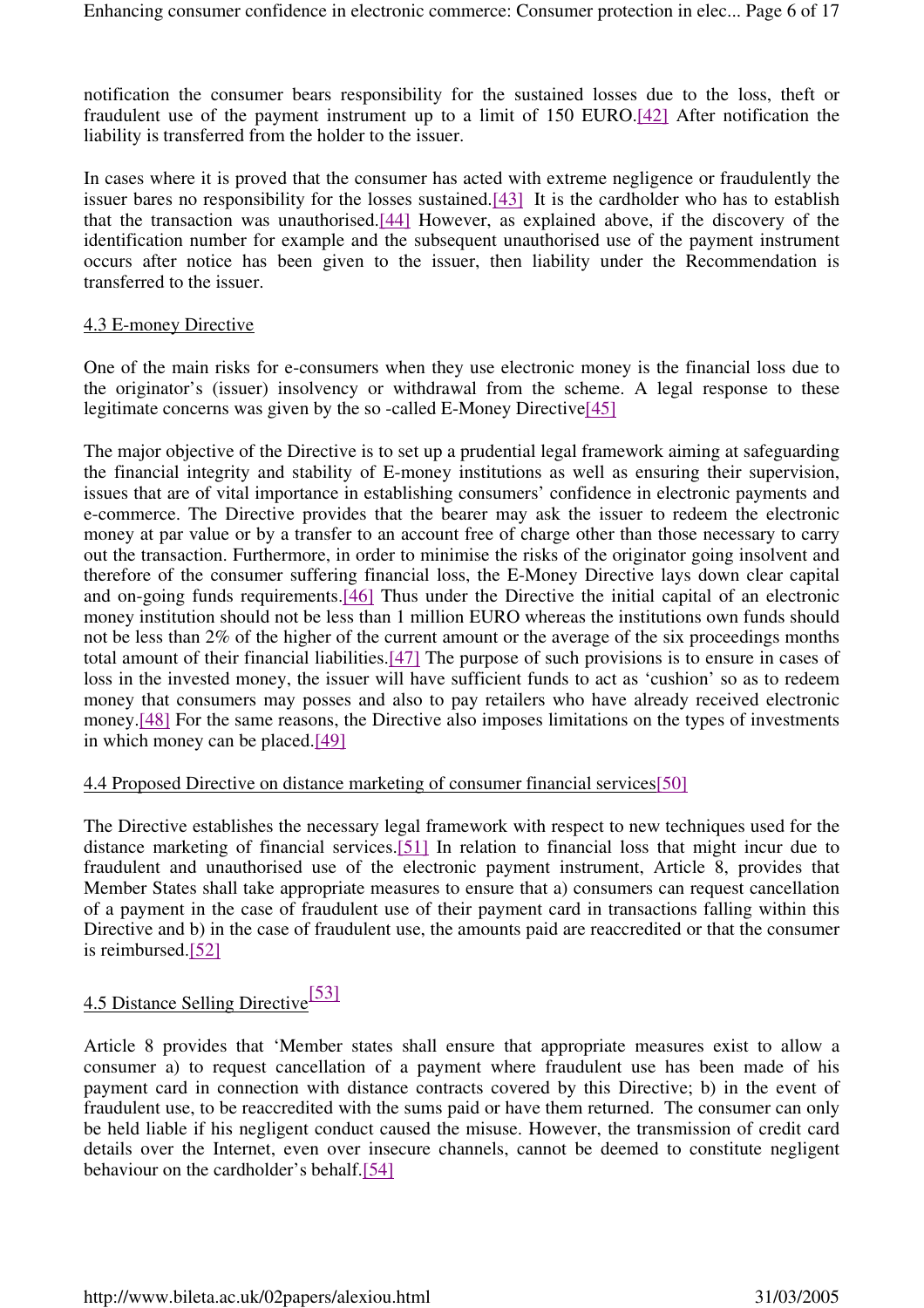notification the consumer bears responsibility for the sustained losses due to the loss, theft or fraudulent use of the payment instrument up to a limit of 150 EURO.[42] After notification the liability is transferred from the holder to the issuer.

In cases where it is proved that the consumer has acted with extreme negligence or fraudulently the issuer bares no responsibility for the losses sustained.[43] It is the cardholder who has to establish that the transaction was unauthorised.[44] However, as explained above, if the discovery of the identification number for example and the subsequent unauthorised use of the payment instrument occurs after notice has been given to the issuer, then liability under the Recommendation is transferred to the issuer.

### 4.3 E-money Directive

One of the main risks for e-consumers when they use electronic money is the financial loss due to the originator's (issuer) insolvency or withdrawal from the scheme. A legal response to these legitimate concerns was given by the so -called E-Money Directive[45]

The major objective of the Directive is to set up a prudential legal framework aiming at safeguarding the financial integrity and stability of E-money institutions as well as ensuring their supervision, issues that are of vital importance in establishing consumers' confidence in electronic payments and e-commerce. The Directive provides that the bearer may ask the issuer to redeem the electronic money at par value or by a transfer to an account free of charge other than those necessary to carry out the transaction. Furthermore, in order to minimise the risks of the originator going insolvent and therefore of the consumer suffering financial loss, the E-Money Directive lays down clear capital and on-going funds requirements.[46] Thus under the Directive the initial capital of an electronic money institution should not be less than 1 million EURO whereas the institutions own funds should not be less than 2% of the higher of the current amount or the average of the six proceedings months total amount of their financial liabilities.[47] The purpose of such provisions is to ensure in cases of loss in the invested money, the issuer will have sufficient funds to act as 'cushion' so as to redeem money that consumers may posses and also to pay retailers who have already received electronic money.[48] For the same reasons, the Directive also imposes limitations on the types of investments in which money can be placed.[49]

### 4.4 Proposed Directive on distance marketing of consumer financial services[50]

The Directive establishes the necessary legal framework with respect to new techniques used for the distance marketing of financial services.[51] In relation to financial loss that might incur due to fraudulent and unauthorised use of the electronic payment instrument, Article 8, provides that Member States shall take appropriate measures to ensure that a) consumers can request cancellation of a payment in the case of fraudulent use of their payment card in transactions falling within this Directive and b) in the case of fraudulent use, the amounts paid are reaccredited or that the consumer is reimbursed.[52]

# 4.5 Distance Selling Directive<sup>[53]</sup>

Article 8 provides that 'Member states shall ensure that appropriate measures exist to allow a consumer a) to request cancellation of a payment where fraudulent use has been made of his payment card in connection with distance contracts covered by this Directive; b) in the event of fraudulent use, to be reaccredited with the sums paid or have them returned. The consumer can only be held liable if his negligent conduct caused the misuse. However, the transmission of credit card details over the Internet, even over insecure channels, cannot be deemed to constitute negligent behaviour on the cardholder's behalf.[54]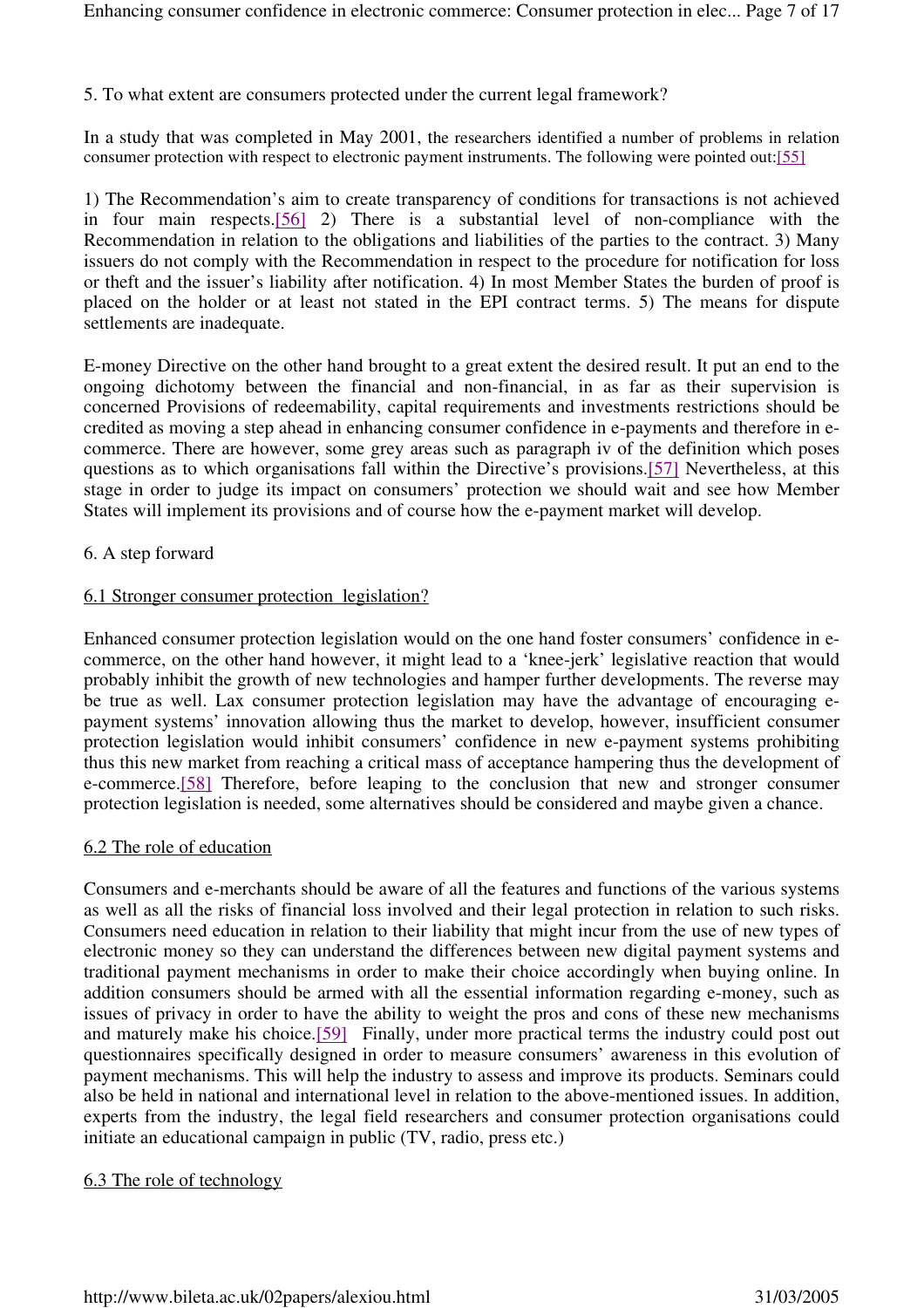5. To what extent are consumers protected under the current legal framework?

In a study that was completed in May 2001, the researchers identified a number of problems in relation consumer protection with respect to electronic payment instruments. The following were pointed out:[55]

1) The Recommendation's aim to create transparency of conditions for transactions is not achieved in four main respects.[56] 2) There is a substantial level of non-compliance with the Recommendation in relation to the obligations and liabilities of the parties to the contract. 3) Many issuers do not comply with the Recommendation in respect to the procedure for notification for loss or theft and the issuer's liability after notification. 4) In most Member States the burden of proof is placed on the holder or at least not stated in the EPI contract terms. 5) The means for dispute settlements are inadequate.

E-money Directive on the other hand brought to a great extent the desired result. It put an end to the ongoing dichotomy between the financial and non-financial, in as far as their supervision is concerned Provisions of redeemability, capital requirements and investments restrictions should be credited as moving a step ahead in enhancing consumer confidence in e-payments and therefore in ecommerce. There are however, some grey areas such as paragraph iv of the definition which poses questions as to which organisations fall within the Directive's provisions.[57] Nevertheless, at this stage in order to judge its impact on consumers' protection we should wait and see how Member States will implement its provisions and of course how the e-payment market will develop.

### 6. A step forward

### 6.1 Stronger consumer protection legislation?

Enhanced consumer protection legislation would on the one hand foster consumers' confidence in ecommerce, on the other hand however, it might lead to a 'knee-jerk' legislative reaction that would probably inhibit the growth of new technologies and hamper further developments. The reverse may be true as well. Lax consumer protection legislation may have the advantage of encouraging epayment systems' innovation allowing thus the market to develop, however, insufficient consumer protection legislation would inhibit consumers' confidence in new e-payment systems prohibiting thus this new market from reaching a critical mass of acceptance hampering thus the development of e-commerce.[58] Therefore, before leaping to the conclusion that new and stronger consumer protection legislation is needed, some alternatives should be considered and maybe given a chance.

### 6.2 The role of education

Consumers and e-merchants should be aware of all the features and functions of the various systems as well as all the risks of financial loss involved and their legal protection in relation to such risks. Consumers need education in relation to their liability that might incur from the use of new types of electronic money so they can understand the differences between new digital payment systems and traditional payment mechanisms in order to make their choice accordingly when buying online. In addition consumers should be armed with all the essential information regarding e-money, such as issues of privacy in order to have the ability to weight the pros and cons of these new mechanisms and maturely make his choice.[59] Finally, under more practical terms the industry could post out questionnaires specifically designed in order to measure consumers' awareness in this evolution of payment mechanisms. This will help the industry to assess and improve its products. Seminars could also be held in national and international level in relation to the above-mentioned issues. In addition, experts from the industry, the legal field researchers and consumer protection organisations could initiate an educational campaign in public (TV, radio, press etc.)

### 6.3 The role of technology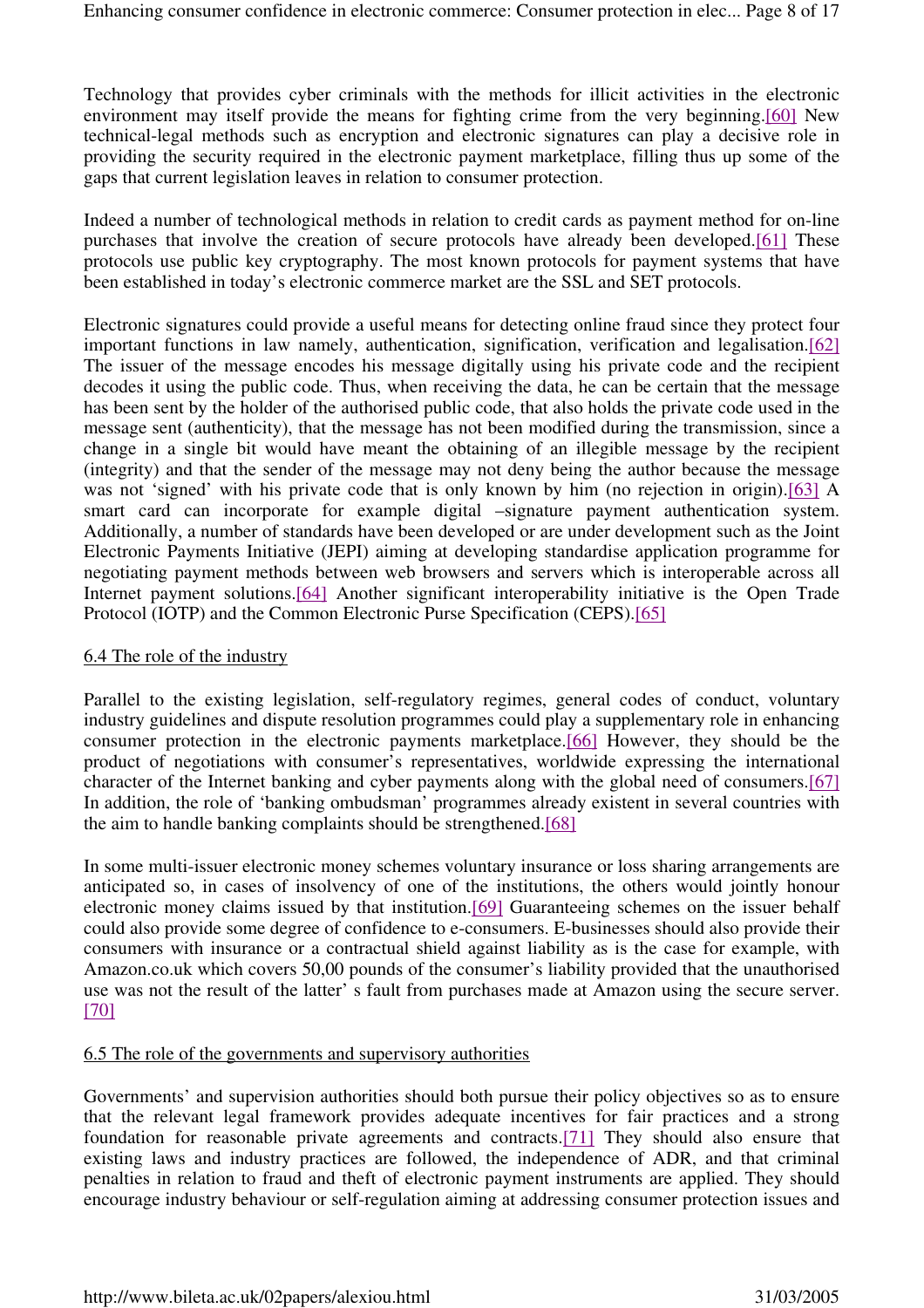Technology that provides cyber criminals with the methods for illicit activities in the electronic environment may itself provide the means for fighting crime from the very beginning.[60] New technical-legal methods such as encryption and electronic signatures can play a decisive role in providing the security required in the electronic payment marketplace, filling thus up some of the gaps that current legislation leaves in relation to consumer protection.

Indeed a number of technological methods in relation to credit cards as payment method for on-line purchases that involve the creation of secure protocols have already been developed.[61] These protocols use public key cryptography. The most known protocols for payment systems that have been established in today's electronic commerce market are the SSL and SET protocols.

Electronic signatures could provide a useful means for detecting online fraud since they protect four important functions in law namely, authentication, signification, verification and legalisation.[62] The issuer of the message encodes his message digitally using his private code and the recipient decodes it using the public code. Thus, when receiving the data, he can be certain that the message has been sent by the holder of the authorised public code, that also holds the private code used in the message sent (authenticity), that the message has not been modified during the transmission, since a change in a single bit would have meant the obtaining of an illegible message by the recipient (integrity) and that the sender of the message may not deny being the author because the message was not 'signed' with his private code that is only known by him (no rejection in origin).[63] A smart card can incorporate for example digital –signature payment authentication system. Additionally, a number of standards have been developed or are under development such as the Joint Electronic Payments Initiative (JEPI) aiming at developing standardise application programme for negotiating payment methods between web browsers and servers which is interoperable across all Internet payment solutions.[64] Another significant interoperability initiative is the Open Trade Protocol (IOTP) and the Common Electronic Purse Specification (CEPS).[65]

### 6.4 The role of the industry

Parallel to the existing legislation, self-regulatory regimes, general codes of conduct, voluntary industry guidelines and dispute resolution programmes could play a supplementary role in enhancing consumer protection in the electronic payments marketplace.[66] However, they should be the product of negotiations with consumer's representatives, worldwide expressing the international character of the Internet banking and cyber payments along with the global need of consumers.[67] In addition, the role of 'banking ombudsman' programmes already existent in several countries with the aim to handle banking complaints should be strengthened.[68]

In some multi-issuer electronic money schemes voluntary insurance or loss sharing arrangements are anticipated so, in cases of insolvency of one of the institutions, the others would jointly honour electronic money claims issued by that institution.[69] Guaranteeing schemes on the issuer behalf could also provide some degree of confidence to e-consumers. E-businesses should also provide their consumers with insurance or a contractual shield against liability as is the case for example, with Amazon.co.uk which covers 50,00 pounds of the consumer's liability provided that the unauthorised use was not the result of the latter' s fault from purchases made at Amazon using the secure server. [70]

### 6.5 The role of the governments and supervisory authorities

Governments' and supervision authorities should both pursue their policy objectives so as to ensure that the relevant legal framework provides adequate incentives for fair practices and a strong foundation for reasonable private agreements and contracts.[71] They should also ensure that existing laws and industry practices are followed, the independence of ADR, and that criminal penalties in relation to fraud and theft of electronic payment instruments are applied. They should encourage industry behaviour or self-regulation aiming at addressing consumer protection issues and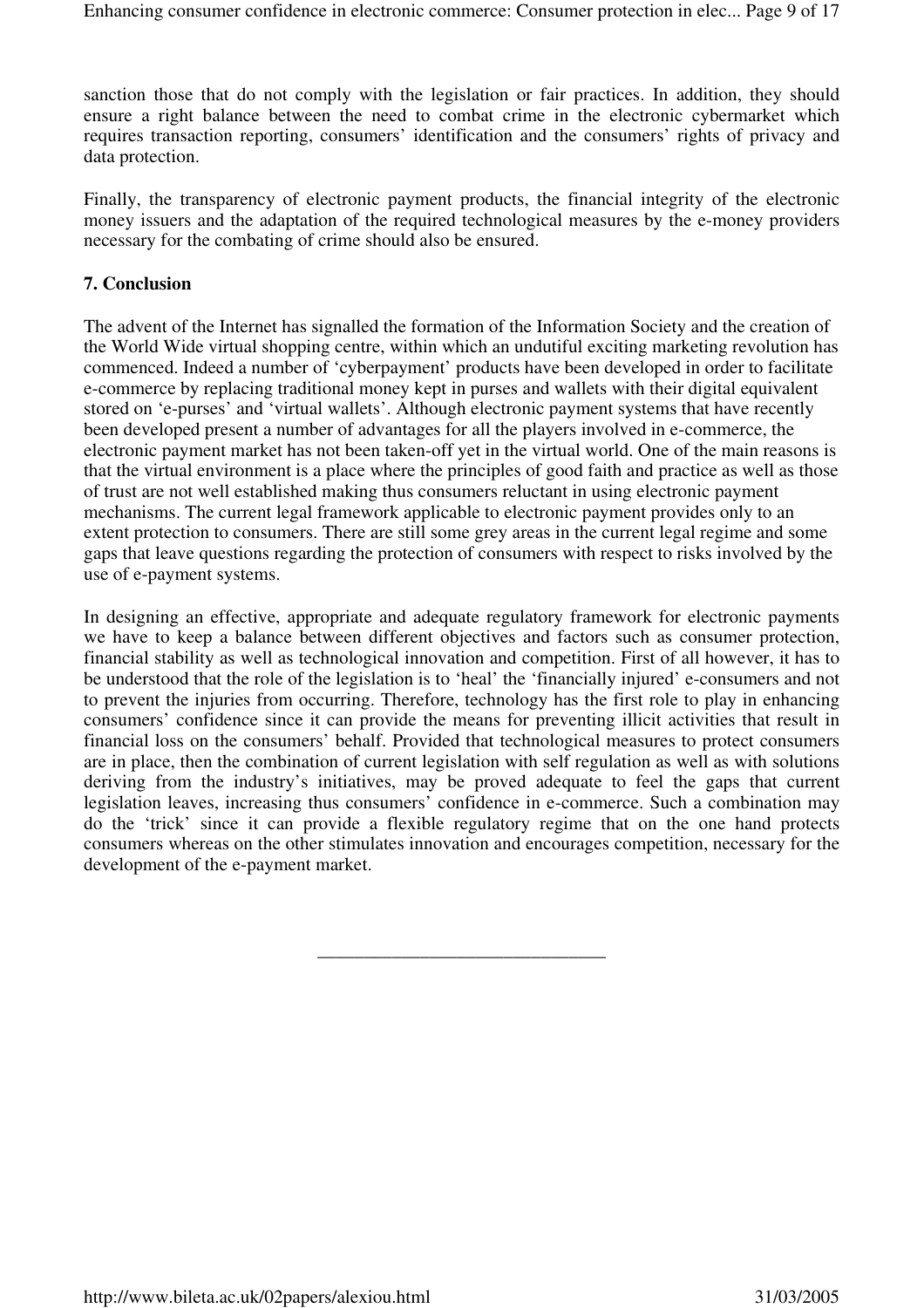sanction those that do not comply with the legislation or fair practices. In addition, they should ensure a right balance between the need to combat crime in the electronic cybermarket which requires transaction reporting, consumers' identification and the consumers' rights of privacy and data protection.

Finally, the transparency of electronic payment products, the financial integrity of the electronic money issuers and the adaptation of the required technological measures by the e-money providers necessary for the combating of crime should also be ensured.

### **7. Conclusion**

The advent of the Internet has signalled the formation of the Information Society and the creation of the World Wide virtual shopping centre, within which an undutiful exciting marketing revolution has commenced. Indeed a number of 'cyberpayment' products have been developed in order to facilitate e-commerce by replacing traditional money kept in purses and wallets with their digital equivalent stored on 'e-purses' and 'virtual wallets'. Although electronic payment systems that have recently been developed present a number of advantages for all the players involved in e-commerce, the electronic payment market has not been taken-off yet in the virtual world. One of the main reasons is that the virtual environment is a place where the principles of good faith and practice as well as those of trust are not well established making thus consumers reluctant in using electronic payment mechanisms. The current legal framework applicable to electronic payment provides only to an extent protection to consumers. There are still some grey areas in the current legal regime and some gaps that leave questions regarding the protection of consumers with respect to risks involved by the use of e-payment systems.

In designing an effective, appropriate and adequate regulatory framework for electronic payments we have to keep a balance between different objectives and factors such as consumer protection, financial stability as well as technological innovation and competition. First of all however, it has to be understood that the role of the legislation is to 'heal' the 'financially injured' e-consumers and not to prevent the injuries from occurring. Therefore, technology has the first role to play in enhancing consumers' confidence since it can provide the means for preventing illicit activities that result in financial loss on the consumers' behalf. Provided that technological measures to protect consumers are in place, then the combination of current legislation with self regulation as well as with solutions deriving from the industry's initiatives, may be proved adequate to feel the gaps that current legislation leaves, increasing thus consumers' confidence in e-commerce. Such a combination may do the 'trick' since it can provide a flexible regulatory regime that on the one hand protects consumers whereas on the other stimulates innovation and encourages competition, necessary for the development of the e-payment market.

\_\_\_\_\_\_\_\_\_\_\_\_\_\_\_\_\_\_\_\_\_\_\_\_\_\_\_\_\_\_\_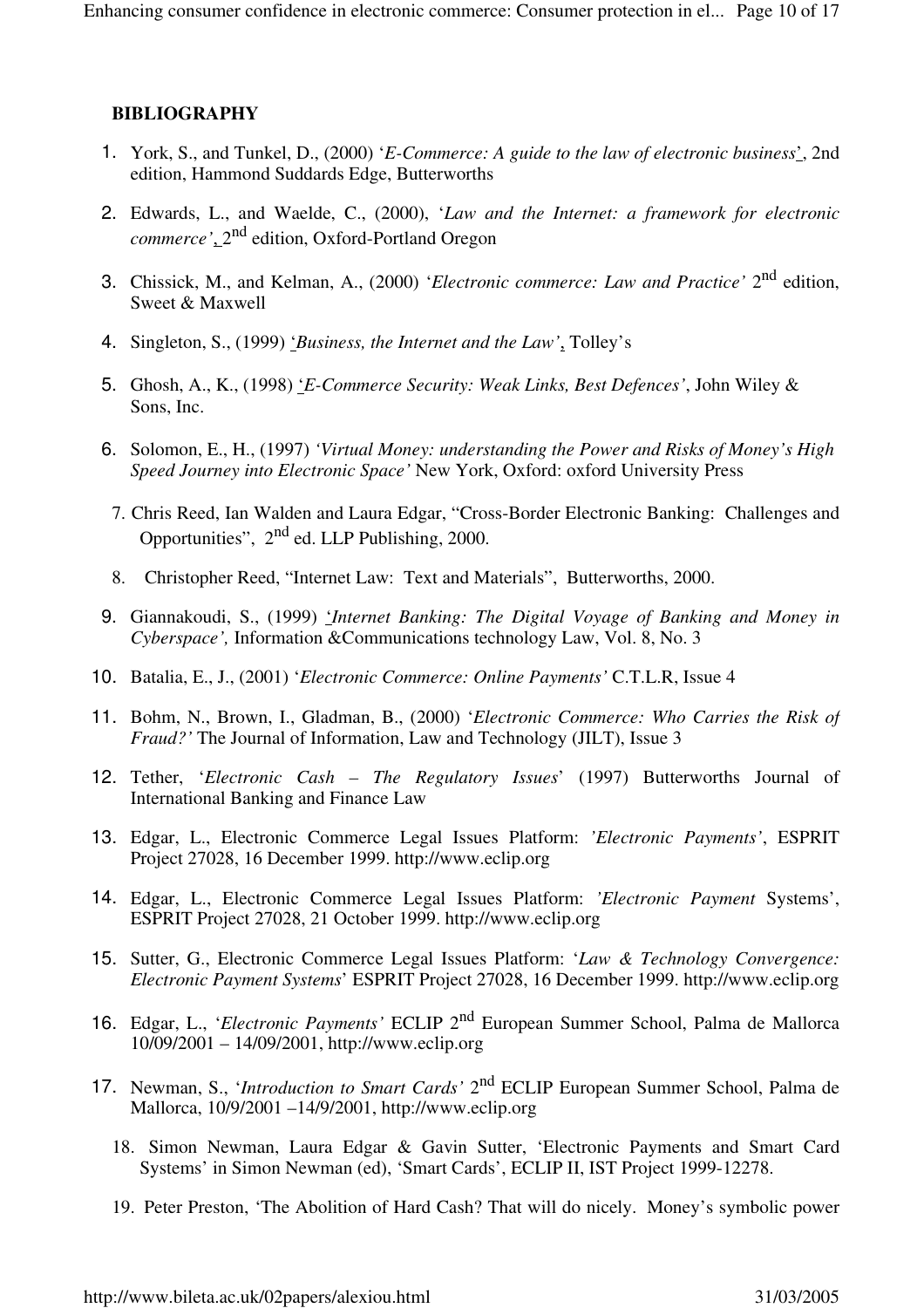### **BIBLIOGRAPHY**

- 1. York, S., and Tunkel, D., (2000) '*E-Commerce: A guide to the law of electronic business*', 2nd edition, Hammond Suddards Edge, Butterworths
- 2. Edwards, L., and Waelde, C., (2000), '*Law and the Internet: a framework for electronic commerce'*, 2 nd edition, Oxford-Portland Oregon
- 3. Chissick, M., and Kelman, A., (2000) '*Electronic commerce: Law and Practice'* 2nd edition, Sweet & Maxwell
- 4. Singleton, S., (1999) '*Business, the Internet and the Law'*, Tolley's
- 5. Ghosh, A., K., (1998) '*E-Commerce Security: Weak Links, Best Defences'*, John Wiley & Sons, Inc.
- 6. Solomon, E., H., (1997) *'Virtual Money: understanding the Power and Risks of Money's High Speed Journey into Electronic Space'* New York, Oxford: oxford University Press
- 7. Chris Reed, Ian Walden and Laura Edgar, "Cross-Border Electronic Banking: Challenges and Opportunities", 2nd ed. LLP Publishing, 2000.
- 8. Christopher Reed, "Internet Law: Text and Materials", Butterworths, 2000.
- 9. Giannakoudi, S., (1999) '*Internet Banking: The Digital Voyage of Banking and Money in Cyberspace',* Information &Communications technology Law, Vol. 8, No. 3
- 10. Batalia, E., J., (2001) '*Electronic Commerce: Online Payments'* C.T.L.R, Issue 4
- 11. Bohm, N., Brown, I., Gladman, B., (2000) '*Electronic Commerce: Who Carries the Risk of Fraud?'* The Journal of Information, Law and Technology (JILT), Issue 3
- 12. Tether, '*Electronic Cash The Regulatory Issues*' (1997) Butterworths Journal of International Banking and Finance Law
- 13. Edgar, L., Electronic Commerce Legal Issues Platform: *'Electronic Payments'*, ESPRIT Project 27028, 16 December 1999. http://www.eclip.org
- 14. Edgar, L., Electronic Commerce Legal Issues Platform: *'Electronic Payment* Systems', ESPRIT Project 27028, 21 October 1999. http://www.eclip.org
- 15. Sutter, G., Electronic Commerce Legal Issues Platform: '*Law & Technology Convergence: Electronic Payment Systems*' ESPRIT Project 27028, 16 December 1999. http://www.eclip.org
- 16. Edgar, L., '*Electronic Payments'* ECLIP 2nd European Summer School, Palma de Mallorca 10/09/2001 – 14/09/2001, http://www.eclip.org
- 17. Newman, S., '*Introduction to Smart Cards*' 2<sup>nd</sup> ECLIP European Summer School, Palma de Mallorca, 10/9/2001 –14/9/2001, http://www.eclip.org
	- 18. Simon Newman, Laura Edgar & Gavin Sutter, 'Electronic Payments and Smart Card Systems' in Simon Newman (ed), 'Smart Cards', ECLIP II, IST Project 1999-12278.
	- 19. Peter Preston, 'The Abolition of Hard Cash? That will do nicely. Money's symbolic power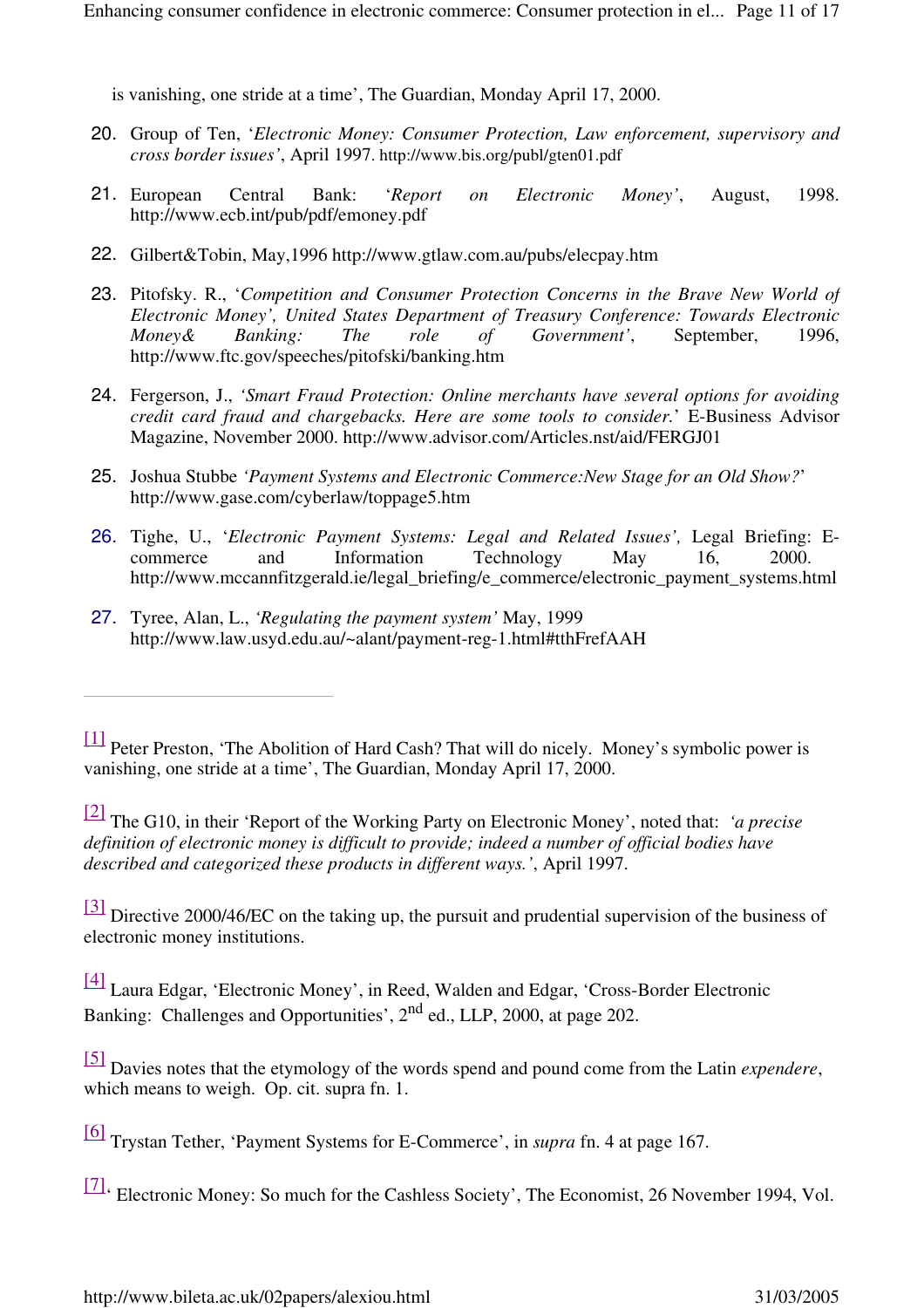is vanishing, one stride at a time', The Guardian, Monday April 17, 2000.

- 20. Group of Ten, '*Electronic Money: Consumer Protection, Law enforcement, supervisory and cross border issues'*, April 1997. http://www.bis.org/publ/gten01.pdf
- 21. European Central Bank: '*Report on Electronic Money'*, August, 1998. http://www.ecb.int/pub/pdf/emoney.pdf
- 22. Gilbert&Tobin, May,1996 http://www.gtlaw.com.au/pubs/elecpay.htm
- 23. Pitofsky. R., '*Competition and Consumer Protection Concerns in the Brave New World of Electronic Money', United States Department of Treasury Conference: Towards Electronic Money& Banking: The role of Government'*, September, 1996, http://www.ftc.gov/speeches/pitofski/banking.htm
- 24. Fergerson, J., *'Smart Fraud Protection: Online merchants have several options for avoiding credit card fraud and chargebacks. Here are some tools to consider.*' E-Business Advisor Magazine, November 2000. http://www.advisor.com/Articles.nst/aid/FERGJ01
- 25. Joshua Stubbe *'Payment Systems and Electronic Commerce:New Stage for an Old Show?*' http://www.gase.com/cyberlaw/toppage5.htm
- 26. Tighe, U., '*Electronic Payment Systems: Legal and Related Issues',* Legal Briefing: Ecommerce and Information Technology May 16, 2000. http://www.mccannfitzgerald.ie/legal\_briefing/e\_commerce/electronic\_payment\_systems.html
- 27. Tyree, Alan, L., *'Regulating the payment system'* May, 1999 http://www.law.usyd.edu.au/~alant/payment-reg-1.html#tthFrefAAH

[2] The G10, in their 'Report of the Working Party on Electronic Money', noted that: *'a precise definition of electronic money is difficult to provide; indeed a number of official bodies have described and categorized these products in different ways.'*, April 1997.

[3] Directive 2000/46/EC on the taking up, the pursuit and prudential supervision of the business of electronic money institutions.

[4] Laura Edgar, 'Electronic Money', in Reed, Walden and Edgar, 'Cross-Border Electronic Banking: Challenges and Opportunities', 2nd ed., LLP, 2000, at page 202.

[5] Davies notes that the etymology of the words spend and pound come from the Latin *expendere*, which means to weigh. Op. cit. supra fn. 1.

[7]' Electronic Money: So much for the Cashless Society', The Economist, 26 November 1994, Vol.

<sup>[1]</sup> Peter Preston, 'The Abolition of Hard Cash? That will do nicely. Money's symbolic power is vanishing, one stride at a time', The Guardian, Monday April 17, 2000.

<sup>[6]</sup> Trystan Tether, 'Payment Systems for E-Commerce', in *supra* fn. 4 at page 167.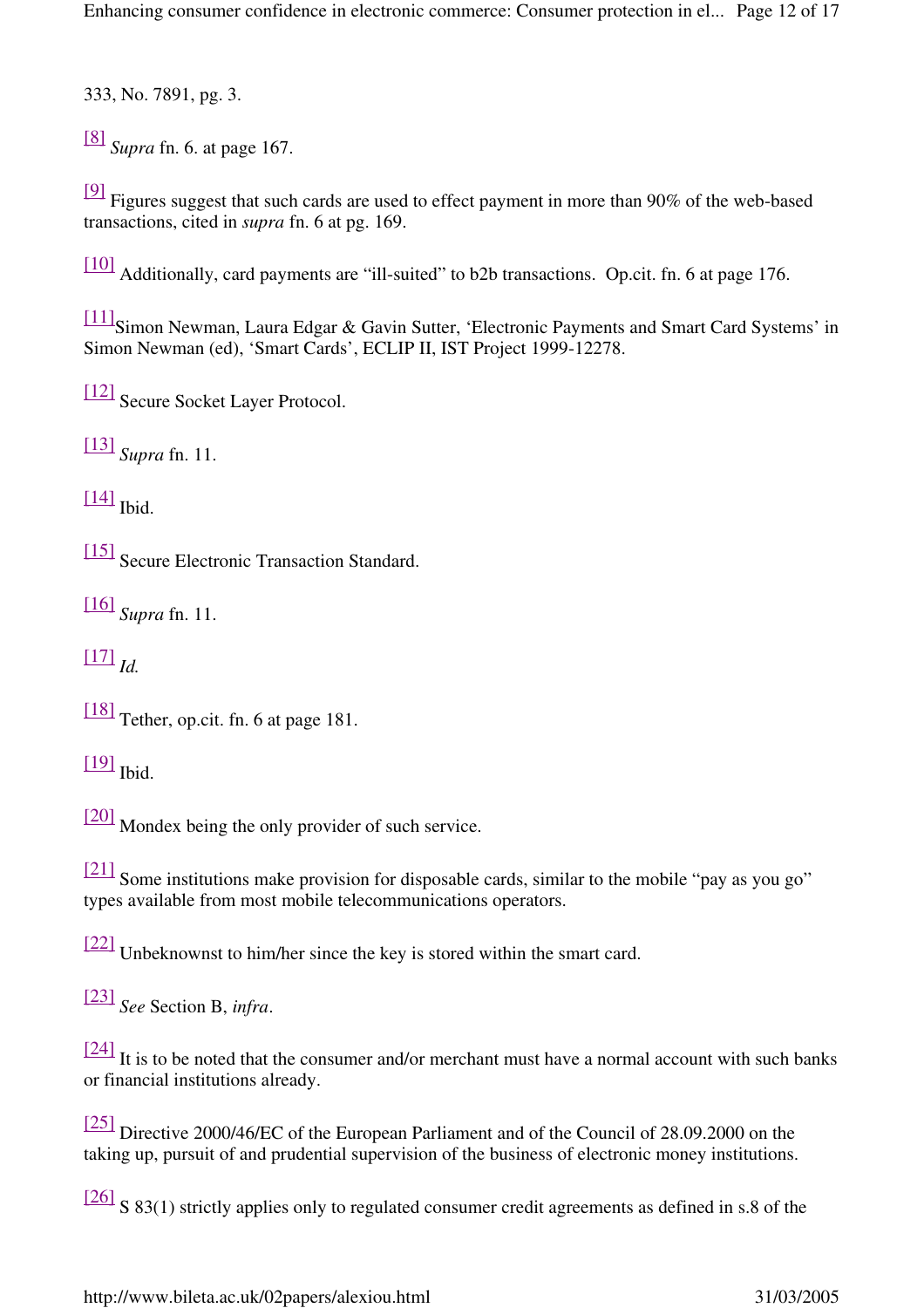333, No. 7891, pg. 3.

[8] *Supra* fn. 6. at page 167.

 $[9]$  Figures suggest that such cards are used to effect payment in more than 90% of the web-based transactions, cited in *supra* fn. 6 at pg. 169.

[10] Additionally, card payments are "ill-suited" to b2b transactions. Op.cit. fn. 6 at page 176.

[11] Simon Newman, Laura Edgar & Gavin Sutter, 'Electronic Payments and Smart Card Systems' in Simon Newman (ed), 'Smart Cards', ECLIP II, IST Project 1999-12278.

[12] Secure Socket Layer Protocol.

[13] *Supra* fn. 11.

 $[14]$  Ibid.

[15] Secure Electronic Transaction Standard.

[16] *Supra* fn. 11.

[17] *Id.*

[18] Tether, op.cit. fn. 6 at page 181.

 $\boxed{19}$  Ibid.

[20] Mondex being the only provider of such service.

[21] Some institutions make provision for disposable cards, similar to the mobile "pay as you go" types available from most mobile telecommunications operators.

[22] Unbeknownst to him/her since the key is stored within the smart card.

[23] *See* Section B, *infra*.

[24] It is to be noted that the consumer and/or merchant must have a normal account with such banks or financial institutions already.

[25] Directive 2000/46/EC of the European Parliament and of the Council of 28.09.2000 on the taking up, pursuit of and prudential supervision of the business of electronic money institutions.

[26] S 83(1) strictly applies only to regulated consumer credit agreements as defined in s.8 of the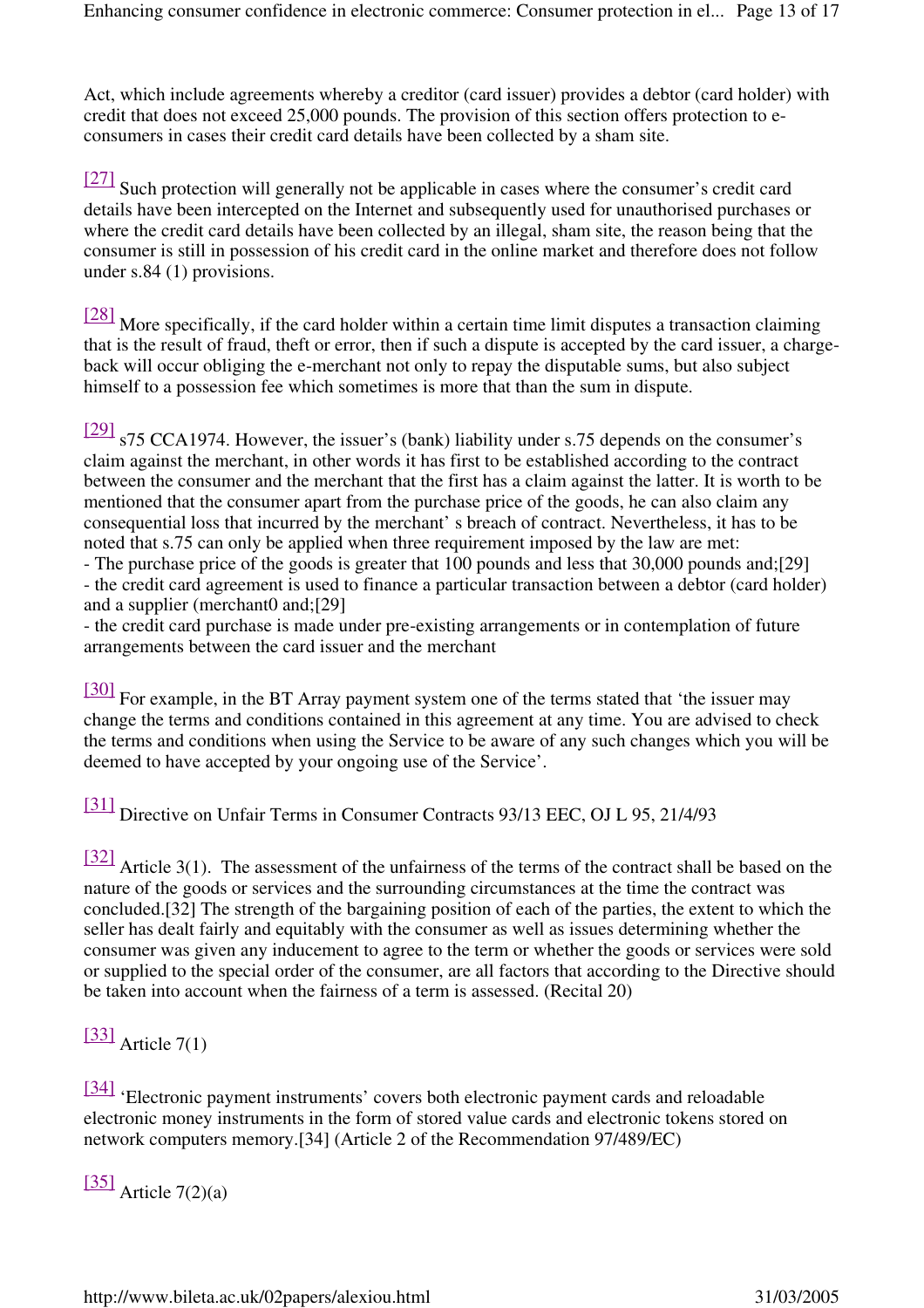Act, which include agreements whereby a creditor (card issuer) provides a debtor (card holder) with credit that does not exceed 25,000 pounds. The provision of this section offers protection to econsumers in cases their credit card details have been collected by a sham site.

[27] Such protection will generally not be applicable in cases where the consumer's credit card details have been intercepted on the Internet and subsequently used for unauthorised purchases or where the credit card details have been collected by an illegal, sham site, the reason being that the consumer is still in possession of his credit card in the online market and therefore does not follow under s.84 (1) provisions.

 $[28]$  More specifically, if the card holder within a certain time limit disputes a transaction claiming that is the result of fraud, theft or error, then if such a dispute is accepted by the card issuer, a chargeback will occur obliging the e-merchant not only to repay the disputable sums, but also subject himself to a possession fee which sometimes is more that than the sum in dispute.

[29] s75 CCA1974. However, the issuer's (bank) liability under s.75 depends on the consumer's claim against the merchant, in other words it has first to be established according to the contract between the consumer and the merchant that the first has a claim against the latter. It is worth to be mentioned that the consumer apart from the purchase price of the goods, he can also claim any consequential loss that incurred by the merchant' s breach of contract. Nevertheless, it has to be noted that s.75 can only be applied when three requirement imposed by the law are met:

- The purchase price of the goods is greater that 100 pounds and less that 30,000 pounds and;[29] - the credit card agreement is used to finance a particular transaction between a debtor (card holder) and a supplier (merchant0 and;[29]

- the credit card purchase is made under pre-existing arrangements or in contemplation of future arrangements between the card issuer and the merchant

[30] For example, in the BT Array payment system one of the terms stated that 'the issuer may change the terms and conditions contained in this agreement at any time. You are advised to check the terms and conditions when using the Service to be aware of any such changes which you will be deemed to have accepted by your ongoing use of the Service'.

[31] Directive on Unfair Terms in Consumer Contracts 93/13 EEC, OJ L 95, 21/4/93

[32] Article 3(1). The assessment of the unfairness of the terms of the contract shall be based on the nature of the goods or services and the surrounding circumstances at the time the contract was concluded.[32] The strength of the bargaining position of each of the parties, the extent to which the seller has dealt fairly and equitably with the consumer as well as issues determining whether the consumer was given any inducement to agree to the term or whether the goods or services were sold or supplied to the special order of the consumer, are all factors that according to the Directive should be taken into account when the fairness of a term is assessed. (Recital 20)

# $\frac{[33]}{[33]}$  Article 7(1)

[34] 'Electronic payment instruments' covers both electronic payment cards and reloadable electronic money instruments in the form of stored value cards and electronic tokens stored on network computers memory.[34] (Article 2 of the Recommendation 97/489/EC)

 $\frac{[35]}{[36]}$  Article 7(2)(a)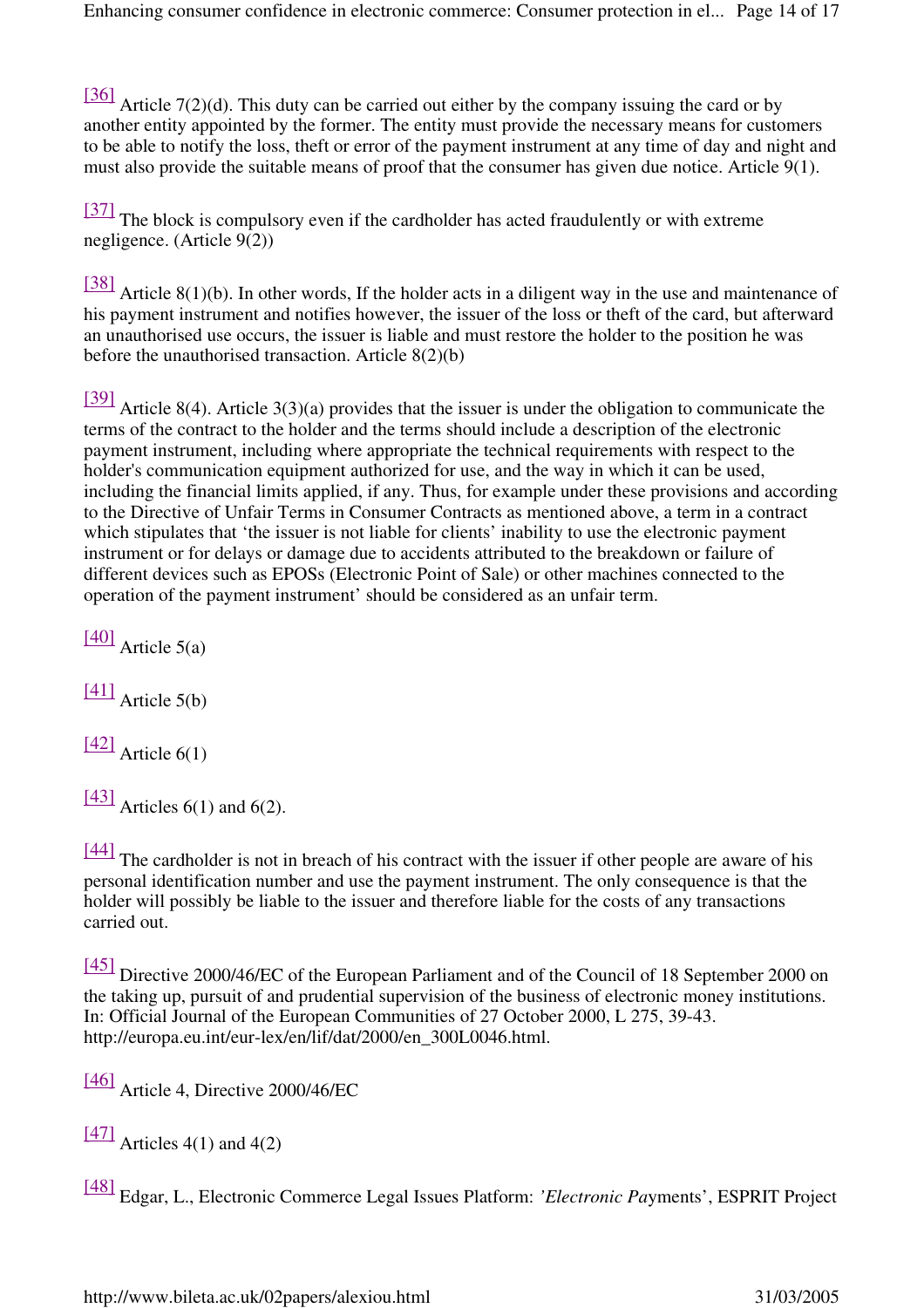Enhancing consumer confidence in electronic commerce: Consumer protection in el... Page 14 of 17

[36] Article 7(2)(d). This duty can be carried out either by the company issuing the card or by another entity appointed by the former. The entity must provide the necessary means for customers to be able to notify the loss, theft or error of the payment instrument at any time of day and night and must also provide the suitable means of proof that the consumer has given due notice. Article 9(1).

[37] The block is compulsory even if the cardholder has acted fraudulently or with extreme negligence. (Article 9(2))

[38] Article 8(1)(b). In other words, If the holder acts in a diligent way in the use and maintenance of his payment instrument and notifies however, the issuer of the loss or theft of the card, but afterward an unauthorised use occurs, the issuer is liable and must restore the holder to the position he was before the unauthorised transaction. Article 8(2)(b)

[39] Article 8(4). Article 3(3)(a) provides that the issuer is under the obligation to communicate the terms of the contract to the holder and the terms should include a description of the electronic payment instrument, including where appropriate the technical requirements with respect to the holder's communication equipment authorized for use, and the way in which it can be used. including the financial limits applied, if any. Thus, for example under these provisions and according to the Directive of Unfair Terms in Consumer Contracts as mentioned above, a term in a contract which stipulates that 'the issuer is not liable for clients' inability to use the electronic payment instrument or for delays or damage due to accidents attributed to the breakdown or failure of different devices such as EPOSs (Electronic Point of Sale) or other machines connected to the operation of the payment instrument' should be considered as an unfair term.

 $[40]$  Article 5(a)

 $\frac{[41]}{[41]}$  Article 5(b)

 $\frac{[42]}{$  Article 6(1)

 $[43]$  Articles 6(1) and 6(2).

[44] The cardholder is not in breach of his contract with the issuer if other people are aware of his personal identification number and use the payment instrument. The only consequence is that the holder will possibly be liable to the issuer and therefore liable for the costs of any transactions carried out.

[45] Directive 2000/46/EC of the European Parliament and of the Council of 18 September 2000 on the taking up, pursuit of and prudential supervision of the business of electronic money institutions. In: Official Journal of the European Communities of 27 October 2000, L 275, 39-43. http://europa.eu.int/eur-lex/en/lif/dat/2000/en\_300L0046.html.

[46] Article 4, Directive 2000/46/EC

 $\frac{[47]}{[47]}$  Articles 4(1) and 4(2)

[48] Edgar, L., Electronic Commerce Legal Issues Platform: *'Electronic Pa*yments', ESPRIT Project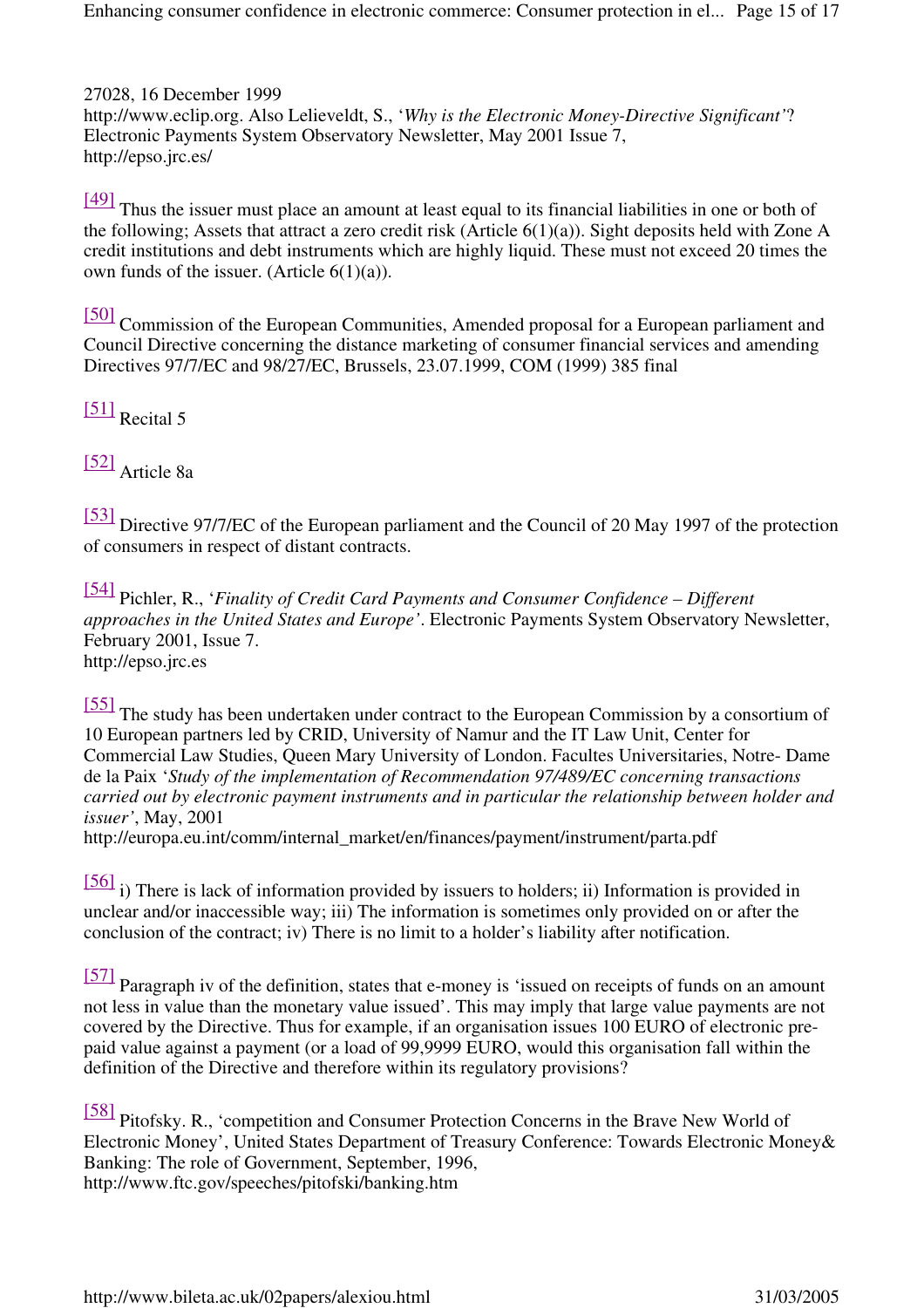Enhancing consumer confidence in electronic commerce: Consumer protection in el... Page 15 of 17

27028, 16 December 1999 http://www.eclip.org. Also Lelieveldt, S., '*Why is the Electronic Money-Directive Significant'*? Electronic Payments System Observatory Newsletter, May 2001 Issue 7, http://epso.jrc.es/

[49] Thus the issuer must place an amount at least equal to its financial liabilities in one or both of the following; Assets that attract a zero credit risk (Article  $6(1)(a)$ ). Sight deposits held with Zone A credit institutions and debt instruments which are highly liquid. These must not exceed 20 times the own funds of the issuer. (Article  $6(1)(a)$ ).

[50] Commission of the European Communities, Amended proposal for a European parliament and Council Directive concerning the distance marketing of consumer financial services and amending Directives 97/7/EC and 98/27/EC, Brussels, 23.07.1999, COM (1999) 385 final

[51] Recital 5

[52] Article 8a

[53] Directive 97/7/EC of the European parliament and the Council of 20 May 1997 of the protection of consumers in respect of distant contracts.

[54] Pichler, R., '*Finality of Credit Card Payments and Consumer Confidence – Different approaches in the United States and Europe'*. Electronic Payments System Observatory Newsletter, February 2001, Issue 7. http://epso.jrc.es

[55] The study has been undertaken under contract to the European Commission by a consortium of 10 European partners led by CRID, University of Namur and the IT Law Unit, Center for Commercial Law Studies, Queen Mary University of London. Facultes Universitaries, Notre- Dame de la Paix '*Study of the implementation of Recommendation 97/489/EC concerning transactions carried out by electronic payment instruments and in particular the relationship between holder and issuer'*, May, 2001

http://europa.eu.int/comm/internal\_market/en/finances/payment/instrument/parta.pdf

[56] i) There is lack of information provided by issuers to holders; ii) Information is provided in unclear and/or inaccessible way; iii) The information is sometimes only provided on or after the conclusion of the contract; iv) There is no limit to a holder's liability after notification.

[57] Paragraph iv of the definition, states that e-money is 'issued on receipts of funds on an amount not less in value than the monetary value issued'. This may imply that large value payments are not covered by the Directive. Thus for example, if an organisation issues 100 EURO of electronic prepaid value against a payment (or a load of 99,9999 EURO, would this organisation fall within the definition of the Directive and therefore within its regulatory provisions?

[58] Pitofsky. R., 'competition and Consumer Protection Concerns in the Brave New World of Electronic Money', United States Department of Treasury Conference: Towards Electronic Money& Banking: The role of Government, September, 1996, http://www.ftc.gov/speeches/pitofski/banking.htm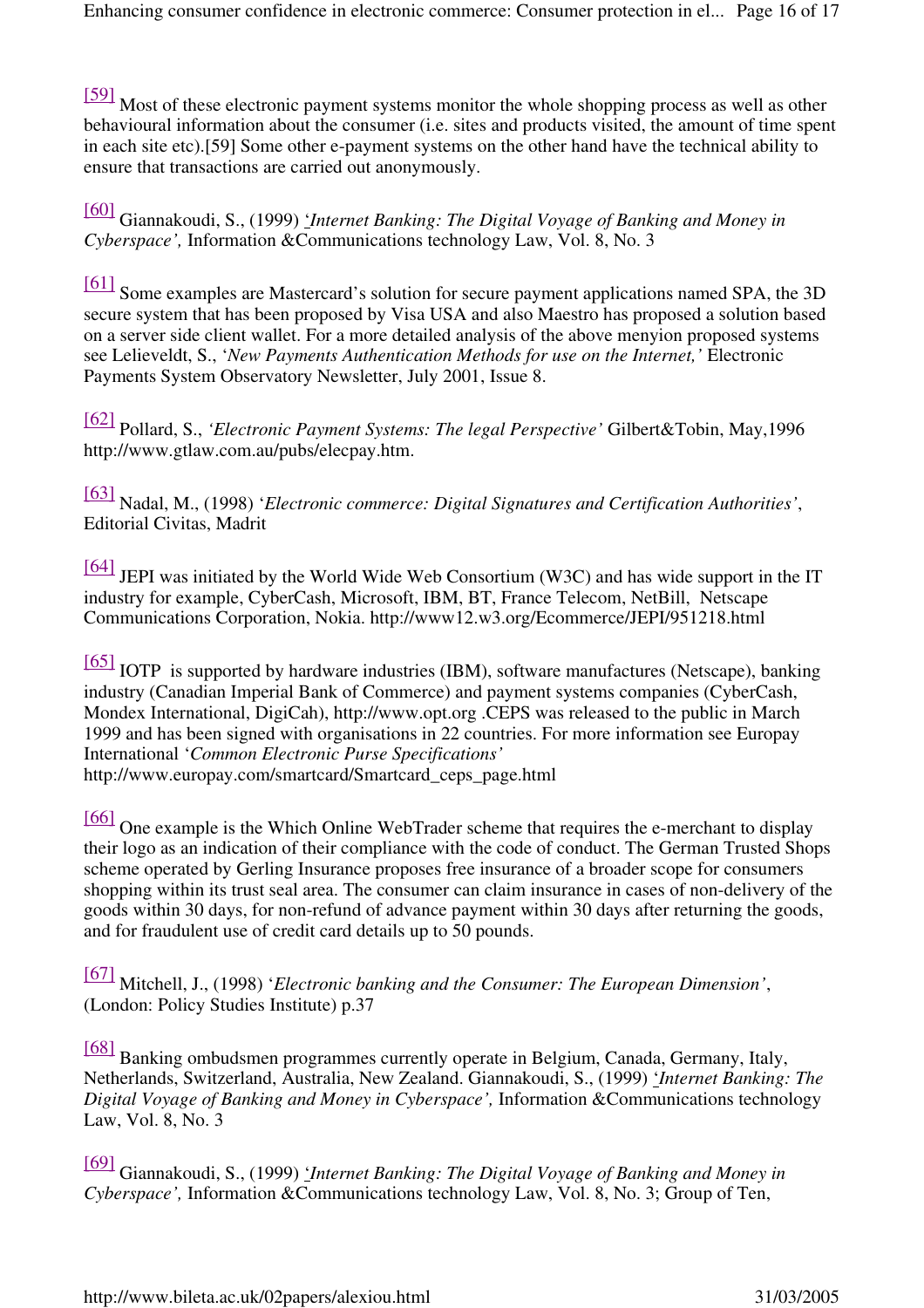Enhancing consumer confidence in electronic commerce: Consumer protection in el... Page 16 of 17

[59] Most of these electronic payment systems monitor the whole shopping process as well as other behavioural information about the consumer (i.e. sites and products visited, the amount of time spent in each site etc).[59] Some other e-payment systems on the other hand have the technical ability to ensure that transactions are carried out anonymously.

[60] Giannakoudi, S., (1999) '*Internet Banking: The Digital Voyage of Banking and Money in Cyberspace',* Information &Communications technology Law, Vol. 8, No. 3

[61] Some examples are Mastercard's solution for secure payment applications named SPA, the 3D secure system that has been proposed by Visa USA and also Maestro has proposed a solution based on a server side client wallet. For a more detailed analysis of the above menyion proposed systems see Lelieveldt, S., '*New Payments Authentication Methods for use on the Internet,'* Electronic Payments System Observatory Newsletter, July 2001, Issue 8.

[62] Pollard, S., *'Electronic Payment Systems: The legal Perspective'* Gilbert&Tobin, May,1996 http://www.gtlaw.com.au/pubs/elecpay.htm.

[63] Nadal, M., (1998) '*Electronic commerce: Digital Signatures and Certification Authorities'*, Editorial Civitas, Madrit

[64] JEPI was initiated by the World Wide Web Consortium (W3C) and has wide support in the IT industry for example, CyberCash, Microsoft, IBM, BT, France Telecom, NetBill, Netscape Communications Corporation, Nokia. http://www12.w3.org/Ecommerce/JEPI/951218.html

[65] IOTP is supported by hardware industries (IBM), software manufactures (Netscape), banking industry (Canadian Imperial Bank of Commerce) and payment systems companies (CyberCash, Mondex International, DigiCah), http://www.opt.org .CEPS was released to the public in March 1999 and has been signed with organisations in 22 countries. For more information see Europay International '*Common Electronic Purse Specifications'*  http://www.europay.com/smartcard/Smartcard\_ceps\_page.html

[66] One example is the Which Online WebTrader scheme that requires the e-merchant to display their logo as an indication of their compliance with the code of conduct. The German Trusted Shops scheme operated by Gerling Insurance proposes free insurance of a broader scope for consumers shopping within its trust seal area. The consumer can claim insurance in cases of non-delivery of the goods within 30 days, for non-refund of advance payment within 30 days after returning the goods, and for fraudulent use of credit card details up to 50 pounds.

[67] Mitchell, J., (1998) '*Electronic banking and the Consumer: The European Dimension'*, (London: Policy Studies Institute) p.37

[68] Banking ombudsmen programmes currently operate in Belgium, Canada, Germany, Italy, Netherlands, Switzerland, Australia, New Zealand. Giannakoudi, S., (1999) '*Internet Banking: The Digital Voyage of Banking and Money in Cyberspace',* Information &Communications technology Law, Vol. 8, No. 3

[69] Giannakoudi, S., (1999) '*Internet Banking: The Digital Voyage of Banking and Money in Cyberspace',* Information &Communications technology Law, Vol. 8, No. 3; Group of Ten,